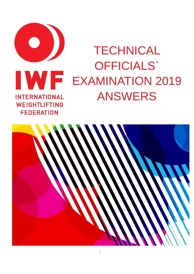

# **TECHNICAL** OFFICIALS` EXAMINATION 2019 ANSWERS

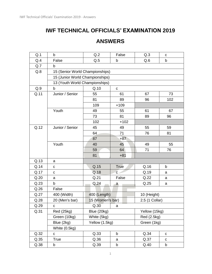# **IWF TECHNICAL OFFICIALS' EXAMINATION 2019**

## **ANSWERS**

| Q.1  | b                               | Q.2              | False        | Q.3            | C           |
|------|---------------------------------|------------------|--------------|----------------|-------------|
| Q.4  | False                           | Q.5              | b            | Q.6            | $\mathsf b$ |
| Q.7  | b                               |                  |              |                |             |
| Q.8  | 15 (Senior World Championships) |                  |              |                |             |
|      | 15 (Junior World Championships) |                  |              |                |             |
|      | 13 (Youth World Championships)  |                  |              |                |             |
| Q.9  | b                               | Q.10             | $\mathbf{C}$ |                |             |
| Q.11 | Junior / Senior                 | 55               | 61           | 67             | 73          |
|      |                                 | 81               | 89           | 96             | 102         |
|      |                                 | 109              | $+109$       |                |             |
|      | Youth                           | 49               | 55           | 61             | 67          |
|      |                                 | 73               | 81           | 89             | 96          |
|      |                                 | 102              | $+102$       |                |             |
| Q.12 | Junior / Senior                 | 45               | 49           | 55             | 59          |
|      |                                 | 64               | 71           | 76             | 81          |
|      |                                 | 87               | $+87$        |                |             |
|      | Youth                           | 40               | 45           | 49             | 55          |
|      |                                 | 59               | 64           | 71             | 76          |
|      |                                 | 81               | $+81$        |                |             |
| Q.13 | a                               |                  |              |                |             |
| Q.14 | C                               | Q.15             | <b>True</b>  | Q.16           | b           |
| Q.17 | с                               | Q.18             | $\mathbf{c}$ | Q.19           | a           |
| Q.20 | a                               | Q.21             | False        | Q.22           | a           |
| Q.23 | b                               | Q.24             | a            | Q.25           | a           |
| Q.26 | False                           |                  |              |                |             |
| Q.27 | 400 (Width)                     | 400 (Length)     |              | 10 (Height)    |             |
| Q.28 | 20 (Men's bar)                  | 15 (Women's bar) |              | 2.5 (1 Collar) |             |
| Q.29 | C                               | Q.30             | a            |                |             |
| Q.31 | <b>Red (25kg)</b>               | Blue (20kg)      |              | Yellow (15kg)  |             |
|      | Green (10kg)                    | White (5kg)      |              | Red (2.5kg)    |             |
|      | Blue (2kg)                      | Yellow (1.5kg)   |              | Green (1kg)    |             |
|      | White (0.5kg)                   |                  |              |                |             |
| Q.32 | С                               | Q.33             | b            | Q.34           | C           |
| Q.35 | True                            | Q.36             | a            | Q.37           | $\mathbf C$ |
| Q.38 | b                               | Q.39             | b            | Q.40           | b           |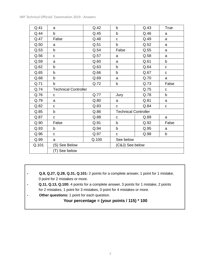| Q.41  | a                           | Q.42  | $\mathsf b$                 | Q.43 | True        |
|-------|-----------------------------|-------|-----------------------------|------|-------------|
| Q.44  | b                           | Q.45  | b                           | Q.46 | a           |
| Q.47  | False                       | Q.48  | $\mathbf C$                 | Q.49 | a           |
| Q.50  | a                           | Q.51  | b                           | Q.52 | a           |
| Q.53  | b                           | Q.54  | False                       | Q.55 | a           |
| Q.56  | $\mathbf C$                 | Q.57  | a                           | Q.58 | a           |
| Q.59  | a                           | Q.60  | a                           | Q.61 | b           |
| Q.62  | b                           | Q.63  | $\mathsf{b}$                | Q.64 | C           |
| Q.65  | b                           | Q.66  | b                           | Q.67 | $\mathbf C$ |
| Q.68  | b                           | Q.69  | a                           | Q.70 | a           |
| Q.71  | b                           | Q.72  | b                           | Q.73 | False       |
| Q.74  | <b>Technical Controller</b> |       |                             | Q.75 | C           |
| Q.76  | C                           | Q.77  | Jury                        | Q.78 | b           |
| Q.79  | a                           | Q.80  | a                           | Q.81 | a           |
| Q.82  | C                           | Q.83  | C                           | Q.84 | C           |
| Q.85  | $\mathsf b$                 | Q.86  | <b>Technical Controller</b> |      |             |
| Q.87  | $\mathbf C$                 | Q.88  | $\mathbf c$                 | Q.89 | a           |
| Q.90  | False                       | Q.91  | $\mathsf b$                 | Q.92 | False       |
| Q.93  | b                           | Q.94  | $\mathsf b$                 | Q.95 | a           |
| Q.96  | $\mathbf C$                 | Q.97  | $\mathbf C$                 | Q.98 | b           |
| Q.99  | a                           | Q.100 | See below                   |      |             |
| Q.101 | (S) See Below               |       | (C&J) See below             |      |             |
|       | (T) See below               |       |                             |      |             |

- **Q.8, Q.27, Q.28, Q.31, Q.101:** 2 points for a complete answer, 1 point for 1 mistake, 0 point for 2 mistakes or more.
- **- Q.11, Q.13, Q.100:** 4 points for a complete answer, 3 points for 1 mistake, 2 points for 2 mistakes, 1 point for 3 mistakes, 0 point for 4 mistakes or more.
- **Other questions:** 1 point for each question.

### **Your percentage = (your points / 115) \* 100**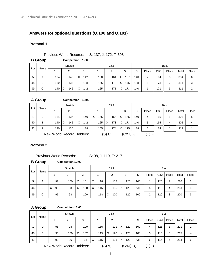## **Answers for optional questions (Q.100 and Q.101)**

#### **Protocol 1**

#### Previous World Records: S: 137, J: 172, T: 308

**B Group Competition 12:00**

|     | Name |     | Snatch   |                 |     | C&J |                                  |     |       |     | <b>Best</b> |       |       |
|-----|------|-----|----------|-----------------|-----|-----|----------------------------------|-----|-------|-----|-------------|-------|-------|
| Lot |      | 2   |          | 3               |     | 2   | 3                                | S   | Place | C&J | Place       | Total | Place |
| 5   | A    | 134 | 140      | X<br>142        | 160 | 164 | $\boldsymbol{\mathsf{X}}$<br>167 | 140 | 2     | 164 | 6           | 304   | 6     |
| 44  | B    | 130 | 135      | 138             | 165 | 173 | $\times$<br>175                  | 138 | 5     | 173 | 2           | 311   |       |
| 99  | C    | 140 | X<br>142 | $\times$<br>142 | 165 | 171 | 173<br>$\mathsf{X}$              | 140 |       | 171 | 3           | 311   |       |

|     | A Group |     |                           | Competition 18:00 |                 |          |            |     |       |     |             |       |       |
|-----|---------|-----|---------------------------|-------------------|-----------------|----------|------------|-----|-------|-----|-------------|-------|-------|
|     | Name    |     | Snatch                    |                   |                 | C&J      |            |     |       |     | <b>Best</b> |       |       |
| Lot |         |     | 2                         | 3                 |                 | 2        | 3          | S   | Place | C&J | Place       | Total | Place |
|     | D       | 134 | 137                       | 140               | $\times$<br>165 | 165      | X<br>166   | 140 | 4     | 165 | 5           | 305   | 5     |
| 40  | E       | 140 | X<br>142                  | X<br>142          | 165             | X<br>173 | X<br>173   | 140 | 3     | 165 | 4           | 305   | 4     |
| 42  | F       | 130 | 136                       | 138               | 165             | 174      | X<br>175   | 138 | 6     | 174 |             | 312   |       |
|     |         |     | New World Record Holders: |                   |                 | (S) C,   | $(C&J)$ F, |     | (T) F |     |             |       |       |

**Protocol 2**

Previous World Records: S: 98, J: 119, T: 217

**B Group Competition 12:00**

|     | Name |         | Snatch |                                  |          | C&J      |          |     |       |     | <b>Best</b>    |       |       |
|-----|------|---------|--------|----------------------------------|----------|----------|----------|-----|-------|-----|----------------|-------|-------|
| Lot |      |         | 2<br>3 |                                  |          | 2        | 3        | S   | Place | C&J | Place          | Total | Place |
| 5   | A    | 97      | 100    | X<br>101                         | 118<br>X | 118      | 120      | 100 |       | 120 | $\overline{2}$ | 220   | 2     |
| 44  | B    | 98<br>X | 98     | $\boldsymbol{\mathsf{X}}$<br>100 | 115<br>X | 115      | X<br>120 | 98  | 5     | 115 | 4              | 213   | 5     |
| 99  | C    | 95      | 98     | 100                              | 118      | X<br>120 | 120      | 100 | 2     | 120 | 3              | 220   | 3     |

#### **A Group Competition 18:00**

|     |      |                           | Snatch |                      |   |     |  | C&J |   |       |     |       |     | <b>Best</b> |       |       |
|-----|------|---------------------------|--------|----------------------|---|-----|--|-----|---|-------|-----|-------|-----|-------------|-------|-------|
| Lot | Name |                           | 2      | 3                    |   |     |  | 2   | 3 |       | S   | Place | C&J | Place       | Total | Place |
|     | D    | 96                        | 98     | 100                  |   | 115 |  | 121 | X | 122   | 100 | 4     | 121 | 1           | 221   |       |
| 40  | E    | 96                        | 100    | 102<br>X             |   | 115 |  | 120 | X | 120   | 100 | 3     | 115 | 5           | 215   | 4     |
| 42  | F    | 93                        | 96     | 98                   | X | 115 |  | 115 | X | 120   | 98  | 6     | 115 | 6           | 213   | 6     |
|     |      | New World Record Holders: |        | $(S)$ A,<br>(C&J) D, |   |     |  |     |   | (T) D |     |       |     |             |       |       |